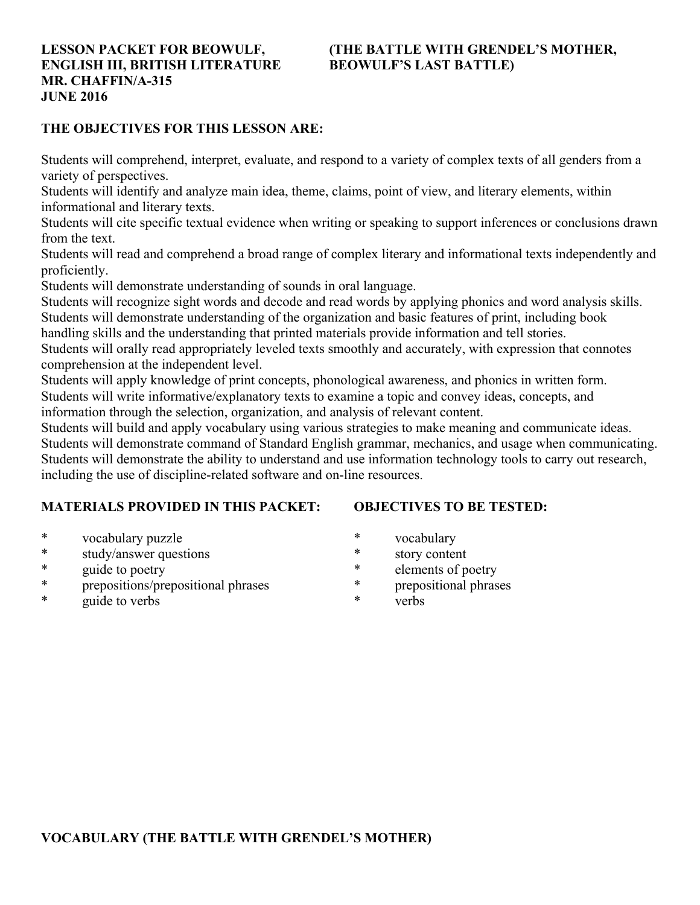# **ENGLISH III, BRITISH LITERATURE BEOWULF'S LAST BATTLE) MR. CHAFFIN/A-315 JUNE 2016**

# **LESSON PACKET FOR BEOWULF, (THE BATTLE WITH GRENDEL'S MOTHER,**

#### **THE OBJECTIVES FOR THIS LESSON ARE:**

Students will comprehend, interpret, evaluate, and respond to a variety of complex texts of all genders from a variety of perspectives.

Students will identify and analyze main idea, theme, claims, point of view, and literary elements, within informational and literary texts.

Students will cite specific textual evidence when writing or speaking to support inferences or conclusions drawn from the text.

Students will read and comprehend a broad range of complex literary and informational texts independently and proficiently.

Students will demonstrate understanding of sounds in oral language.

Students will recognize sight words and decode and read words by applying phonics and word analysis skills. Students will demonstrate understanding of the organization and basic features of print, including book

handling skills and the understanding that printed materials provide information and tell stories.

Students will orally read appropriately leveled texts smoothly and accurately, with expression that connotes comprehension at the independent level.

Students will apply knowledge of print concepts, phonological awareness, and phonics in written form. Students will write informative/explanatory texts to examine a topic and convey ideas, concepts, and information through the selection, organization, and analysis of relevant content.

Students will build and apply vocabulary using various strategies to make meaning and communicate ideas. Students will demonstrate command of Standard English grammar, mechanics, and usage when communicating. Students will demonstrate the ability to understand and use information technology tools to carry out research, including the use of discipline-related software and on-line resources.

# **MATERIALS PROVIDED IN THIS PACKET:**

**OBJECTIVES TO BE TESTED:**

- \* vocabulary puzzle
- \* study/answer questions
- \* guide to poetry
- \* prepositions/prepositional phrases
- \* guide to verbs
- \* vocabulary
- \* story content
- \* elements of poetry
- \* prepositional phrases
	- verbs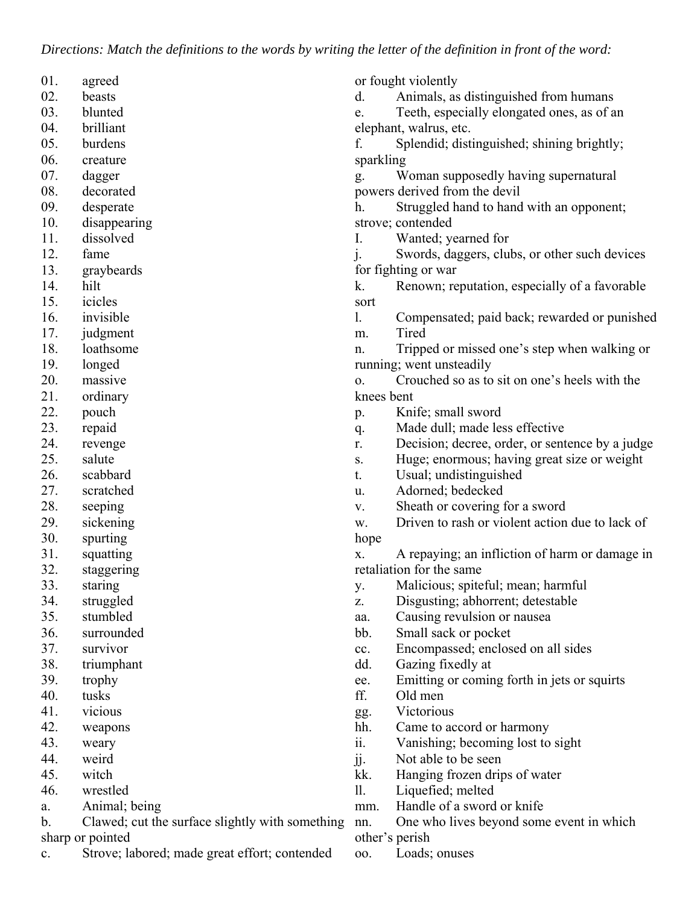*Directions: Match the definitions to the words by writing the letter of the definition in front of the word:*

| 01. | agreed                                          |                | or fought violently                             |
|-----|-------------------------------------------------|----------------|-------------------------------------------------|
| 02. | beasts                                          | d.             | Animals, as distinguished from humans           |
| 03. | blunted                                         | e.             | Teeth, especially elongated ones, as of an      |
| 04. | brilliant                                       |                | elephant, walrus, etc.                          |
| 05. | burdens                                         | f.             | Splendid; distinguished; shining brightly;      |
| 06. | creature                                        | sparkling      |                                                 |
| 07. | dagger                                          | g.             | Woman supposedly having supernatural            |
| 08. | decorated                                       |                | powers derived from the devil                   |
| 09. | desperate                                       | h.             | Struggled hand to hand with an opponent;        |
| 10. | disappearing                                    |                | strove; contended                               |
| 11. | dissolved                                       | I.             | Wanted; yearned for                             |
| 12. | fame                                            | $\mathbf{i}$ . | Swords, daggers, clubs, or other such devices   |
| 13. | graybeards                                      |                | for fighting or war                             |
| 14. | hilt                                            | k.             | Renown; reputation, especially of a favorable   |
| 15. | icicles                                         | sort           |                                                 |
| 16. | invisible                                       | 1.             | Compensated; paid back; rewarded or punished    |
| 17. | judgment                                        | m.             | Tired                                           |
| 18. | loathsome                                       | n.             | Tripped or missed one's step when walking or    |
| 19. | longed                                          |                | running; went unsteadily                        |
| 20. | massive                                         | O <sub>1</sub> | Crouched so as to sit on one's heels with the   |
| 21. | ordinary                                        | knees bent     |                                                 |
| 22. | pouch                                           | p.             | Knife; small sword                              |
| 23. | repaid                                          | q.             | Made dull; made less effective                  |
| 24. | revenge                                         | r.             | Decision; decree, order, or sentence by a judge |
| 25. | salute                                          | S.             | Huge; enormous; having great size or weight     |
| 26. | scabbard                                        | t.             | Usual; undistinguished                          |
| 27. | scratched                                       | u.             | Adorned; bedecked                               |
| 28. | seeping                                         | V.             | Sheath or covering for a sword                  |
| 29. | sickening                                       | w.             | Driven to rash or violent action due to lack of |
| 30. | spurting                                        | hope           |                                                 |
| 31. | squatting                                       | X.             | A repaying; an infliction of harm or damage in  |
| 32. | staggering                                      |                | retaliation for the same                        |
| 33. | staring                                         | у.             | Malicious; spiteful; mean; harmful              |
| 34. | struggled                                       | Z.             | Disgusting; abhorrent; detestable               |
| 35. | stumbled                                        | aa.            | Causing revulsion or nausea                     |
| 36. | surrounded                                      | bb.            | Small sack or pocket                            |
| 37. | survivor                                        | cc.            | Encompassed; enclosed on all sides              |
| 38. | triumphant                                      | dd.            | Gazing fixedly at                               |
| 39. | trophy                                          | ee.            | Emitting or coming forth in jets or squirts     |
| 40. | tusks                                           | ff.            | Old men                                         |
| 41. | vicious                                         | gg.            | Victorious                                      |
| 42. | weapons                                         | hh.            | Came to accord or harmony                       |
| 43. | weary                                           | ii.            | Vanishing; becoming lost to sight               |
| 44. | weird                                           | jj.            | Not able to be seen                             |
| 45. | witch                                           | kk.            | Hanging frozen drips of water                   |
| 46. | wrestled                                        | 11.            | Liquefied; melted                               |
| a.  | Animal; being                                   | mm.            | Handle of a sword or knife                      |
| b.  | Clawed; cut the surface slightly with something | nn.            | One who lives beyond some event in which        |
|     | sharp or pointed                                |                | other's perish                                  |

c. Strove; labored; made great effort; contended

oo. Loads; onuses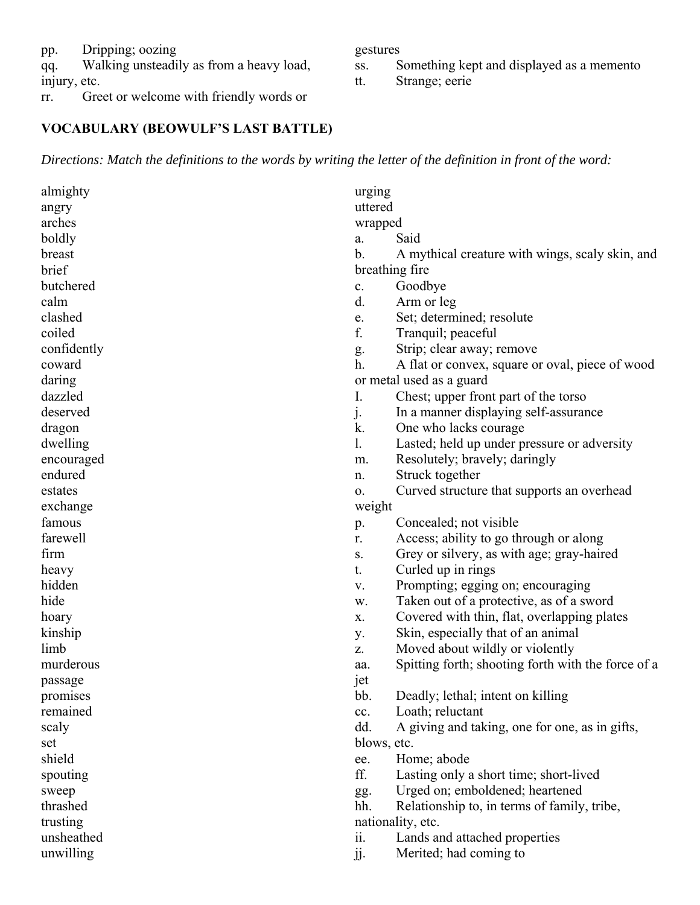pp. Dripping; oozing

qq. Walking unsteadily as from a heavy load,

injury, etc.

rr. Greet or welcome with friendly words or

# **VOCABULARY (BEOWULF'S LAST BATTLE)**

*Directions: Match the definitions to the words by writing the letter of the definition in front of the word:*

| almighty    | urging         |                                                    |
|-------------|----------------|----------------------------------------------------|
| angry       | uttered        |                                                    |
| arches      | wrapped        |                                                    |
| boldly      | a.             | Said                                               |
| breast      | b.             | A mythical creature with wings, scaly skin, and    |
| brief       | breathing fire |                                                    |
| butchered   | c.             | Goodbye                                            |
| calm        | d.             | Arm or leg                                         |
| clashed     | e.             | Set; determined; resolute                          |
| coiled      | f.             | Tranquil; peaceful                                 |
| confidently | g.             | Strip; clear away; remove                          |
| coward      | h.             | A flat or convex, square or oval, piece of wood    |
| daring      |                | or metal used as a guard                           |
| dazzled     | I.             | Chest; upper front part of the torso               |
| deserved    | $\mathbf{j}$ . | In a manner displaying self-assurance              |
| dragon      | k.             | One who lacks courage                              |
| dwelling    | 1.             | Lasted; held up under pressure or adversity        |
| encouraged  | m.             | Resolutely; bravely; daringly                      |
| endured     | n.             | Struck together                                    |
| estates     | 0.             | Curved structure that supports an overhead         |
| exchange    | weight         |                                                    |
| famous      | p.             | Concealed; not visible                             |
| farewell    | r.             | Access; ability to go through or along             |
| firm        | S.             | Grey or silvery, as with age; gray-haired          |
| heavy       | t.             | Curled up in rings                                 |
| hidden      | V.             | Prompting; egging on; encouraging                  |
| hide        | w.             | Taken out of a protective, as of a sword           |
| hoary       | X.             | Covered with thin, flat, overlapping plates        |
| kinship     | у.             | Skin, especially that of an animal                 |
| limb        | z.             | Moved about wildly or violently                    |
| murderous   | aa.            | Spitting forth; shooting forth with the force of a |
| passage     | jet            |                                                    |
| promises    | bb.            | Deadly; lethal; intent on killing                  |
| remained    | cc.            | Loath; reluctant                                   |
| scaly       | dd.            | A giving and taking, one for one, as in gifts,     |
| set         | blows, etc.    |                                                    |
| shield      | ee.            | Home; abode                                        |
| spouting    | ff.            | Lasting only a short time; short-lived             |
| sweep       | gg.            | Urged on; emboldened; heartened                    |
| thrashed    | hh.            | Relationship to, in terms of family, tribe,        |
| trusting    |                | nationality, etc.                                  |
| unsheathed  | ii.            | Lands and attached properties                      |
| unwilling   | jj.            | Merited; had coming to                             |
|             |                |                                                    |

gestures

- ss. Something kept and displayed as a memento
- tt. Strange; eerie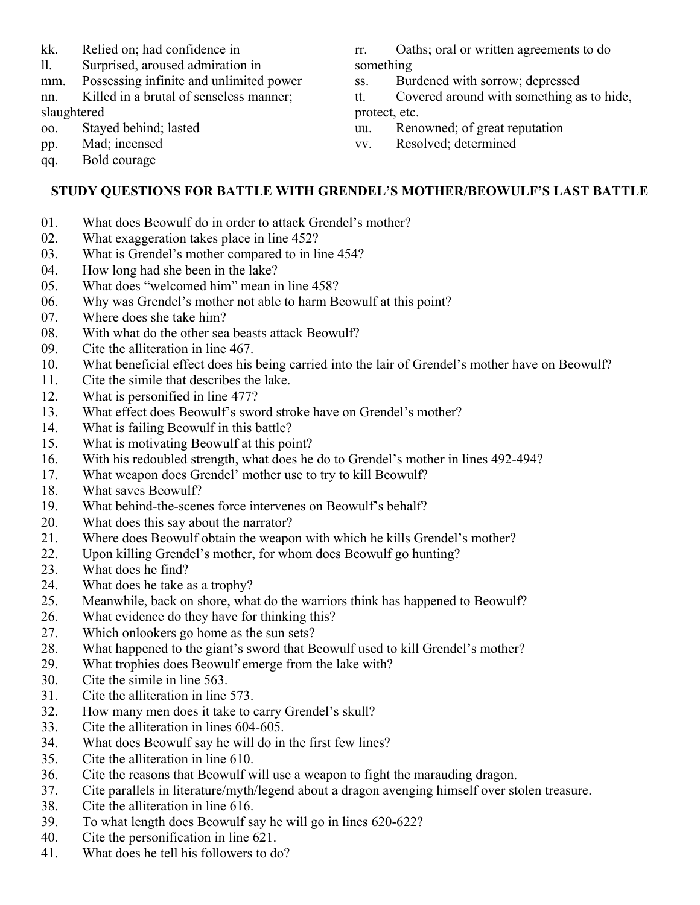- kk. Relied on; had confidence in
- ll. Surprised, aroused admiration in
- mm. Possessing infinite and unlimited power nn. Killed in a brutal of senseless manner;

slaughtered

oo. Stayed behind; lasted

pp. Mad; incensed

qq. Bold courage

- rr. Oaths; oral or written agreements to do something
- ss. Burdened with sorrow; depressed
- tt. Covered around with something as to hide, protect, etc.
- uu. Renowned; of great reputation
- vv. Resolved; determined

# **STUDY QUESTIONS FOR BATTLE WITH GRENDEL'S MOTHER/BEOWULF'S LAST BATTLE**

- 01. What does Beowulf do in order to attack Grendel's mother?
- 02. What exaggeration takes place in line 452?
- 03. What is Grendel's mother compared to in line 454?
- 04. How long had she been in the lake?
- 05. What does "welcomed him" mean in line 458?
- 06. Why was Grendel's mother not able to harm Beowulf at this point?
- 07. Where does she take him?
- 08. With what do the other sea beasts attack Beowulf?
- 09. Cite the alliteration in line 467.
- 10. What beneficial effect does his being carried into the lair of Grendel's mother have on Beowulf?
- 11. Cite the simile that describes the lake.
- 12. What is personified in line 477?
- 13. What effect does Beowulf's sword stroke have on Grendel's mother?
- 14. What is failing Beowulf in this battle?
- 15. What is motivating Beowulf at this point?
- 16. With his redoubled strength, what does he do to Grendel's mother in lines 492-494?
- 17. What weapon does Grendel' mother use to try to kill Beowulf?
- 18. What saves Beowulf?
- 19. What behind-the-scenes force intervenes on Beowulf's behalf?
- 20. What does this say about the narrator?
- 21. Where does Beowulf obtain the weapon with which he kills Grendel's mother?
- 22. Upon killing Grendel's mother, for whom does Beowulf go hunting?
- 23. What does he find?
- 24. What does he take as a trophy?
- 25. Meanwhile, back on shore, what do the warriors think has happened to Beowulf?
- 26. What evidence do they have for thinking this?
- 27. Which onlookers go home as the sun sets?
- 28. What happened to the giant's sword that Beowulf used to kill Grendel's mother?
- 29. What trophies does Beowulf emerge from the lake with?
- 30. Cite the simile in line 563.
- 31. Cite the alliteration in line 573.
- 32. How many men does it take to carry Grendel's skull?
- 33. Cite the alliteration in lines 604-605.
- 34. What does Beowulf say he will do in the first few lines?
- 35. Cite the alliteration in line 610.
- 36. Cite the reasons that Beowulf will use a weapon to fight the marauding dragon.
- 37. Cite parallels in literature/myth/legend about a dragon avenging himself over stolen treasure.
- 38. Cite the alliteration in line 616.
- 39. To what length does Beowulf say he will go in lines 620-622?
- 40. Cite the personification in line 621.
- 41. What does he tell his followers to do?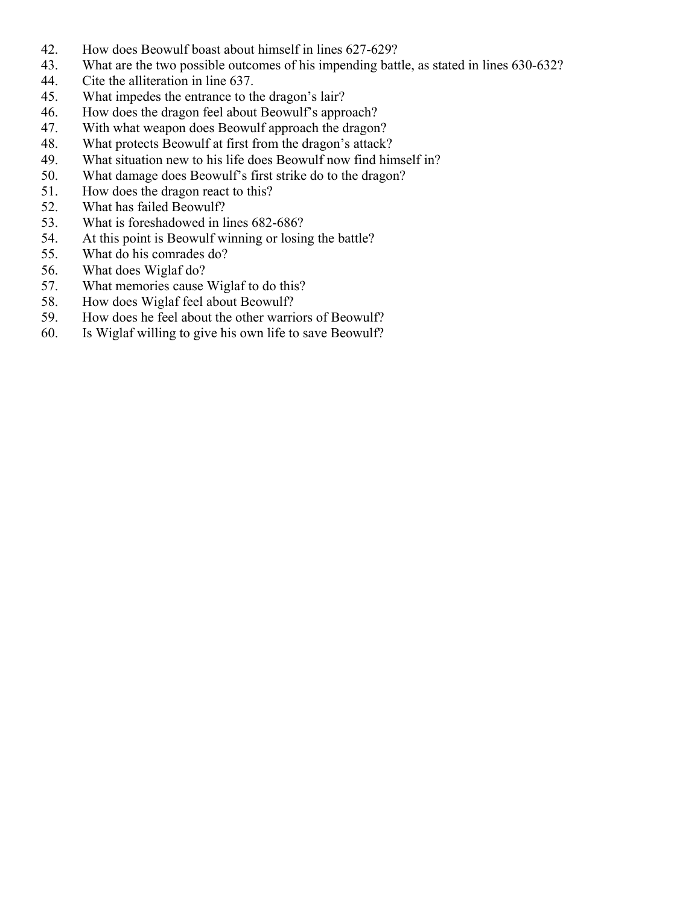- 42. How does Beowulf boast about himself in lines 627-629?
- 43. What are the two possible outcomes of his impending battle, as stated in lines 630-632?
- 44. Cite the alliteration in line 637.
- 45. What impedes the entrance to the dragon's lair?
- 46. How does the dragon feel about Beowulf's approach?
- 47. With what weapon does Beowulf approach the dragon?
- 48. What protects Beowulf at first from the dragon's attack?
- 49. What situation new to his life does Beowulf now find himself in?
- 50. What damage does Beowulf's first strike do to the dragon?
- 51. How does the dragon react to this?
- 52. What has failed Beowulf?
- 53. What is foreshadowed in lines 682-686?
- 54. At this point is Beowulf winning or losing the battle?
- 55. What do his comrades do?
- 56. What does Wiglaf do?
- 57. What memories cause Wiglaf to do this?
- 58. How does Wiglaf feel about Beowulf?
- 59. How does he feel about the other warriors of Beowulf?
- 60. Is Wiglaf willing to give his own life to save Beowulf?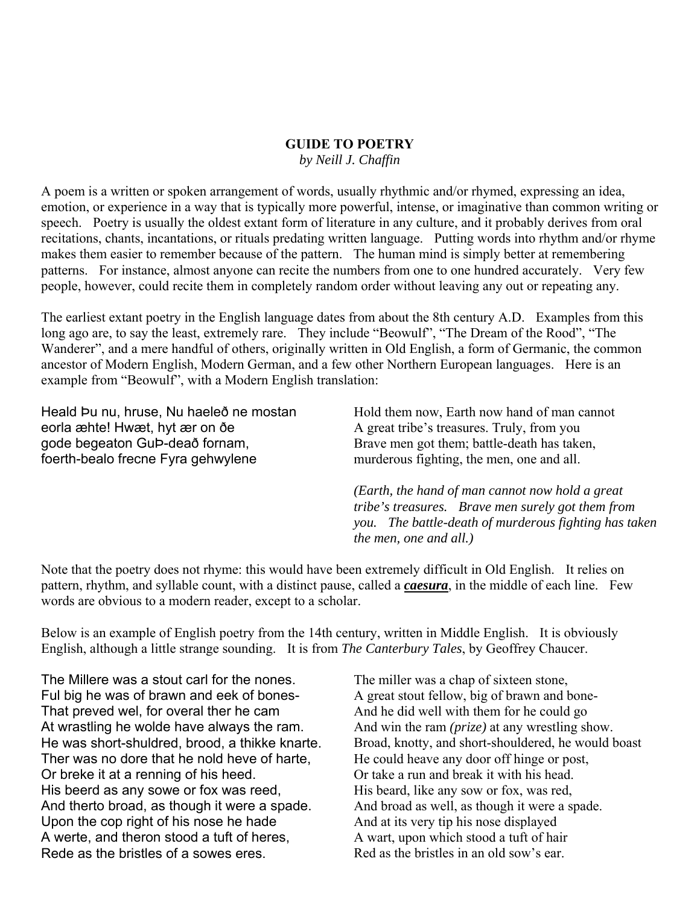#### **GUIDE TO POETRY**

*by Neill J. Chaffin*

A poem is a written or spoken arrangement of words, usually rhythmic and/or rhymed, expressing an idea, emotion, or experience in a way that is typically more powerful, intense, or imaginative than common writing or speech. Poetry is usually the oldest extant form of literature in any culture, and it probably derives from oral recitations, chants, incantations, or rituals predating written language. Putting words into rhythm and/or rhyme makes them easier to remember because of the pattern. The human mind is simply better at remembering patterns. For instance, almost anyone can recite the numbers from one to one hundred accurately. Very few people, however, could recite them in completely random order without leaving any out or repeating any.

The earliest extant poetry in the English language dates from about the 8th century A.D. Examples from this long ago are, to say the least, extremely rare. They include "Beowulf", "The Dream of the Rood", "The Wanderer", and a mere handful of others, originally written in Old English, a form of Germanic, the common ancestor of Modern English, Modern German, and a few other Northern European languages. Here is an example from "Beowulf", with a Modern English translation:

Heald Þu nu, hruse, Nu haeleð ne mostan eorla æhte! Hwæt, hyt ær on ðe gode begeaton GuÞ-deað fornam, foerth-bealo frecne Fyra gehwylene

Hold them now, Earth now hand of man cannot A great tribe's treasures. Truly, from you Brave men got them; battle-death has taken, murderous fighting, the men, one and all.

*(Earth, the hand of man cannot now hold a great tribe's treasures. Brave men surely got them from you. The battle-death of murderous fighting has taken the men, one and all.)*

Note that the poetry does not rhyme: this would have been extremely difficult in Old English. It relies on pattern, rhythm, and syllable count, with a distinct pause, called a *caesura*, in the middle of each line. Few words are obvious to a modern reader, except to a scholar.

Below is an example of English poetry from the 14th century, written in Middle English. It is obviously English, although a little strange sounding. It is from *The Canterbury Tales*, by Geoffrey Chaucer.

The Millere was a stout carl for the nones. Ful big he was of brawn and eek of bones-That preved wel, for overal ther he cam At wrastling he wolde have always the ram. He was short-shuldred, brood, a thikke knarte. Ther was no dore that he nold heve of harte, Or breke it at a renning of his heed. His beerd as any sowe or fox was reed, And therto broad, as though it were a spade. Upon the cop right of his nose he hade A werte, and theron stood a tuft of heres, Rede as the bristles of a sowes eres.

The miller was a chap of sixteen stone, A great stout fellow, big of brawn and bone-And he did well with them for he could go And win the ram *(prize)* at any wrestling show. Broad, knotty, and short-shouldered, he would boast He could heave any door off hinge or post, Or take a run and break it with his head. His beard, like any sow or fox, was red, And broad as well, as though it were a spade. And at its very tip his nose displayed A wart, upon which stood a tuft of hair Red as the bristles in an old sow's ear.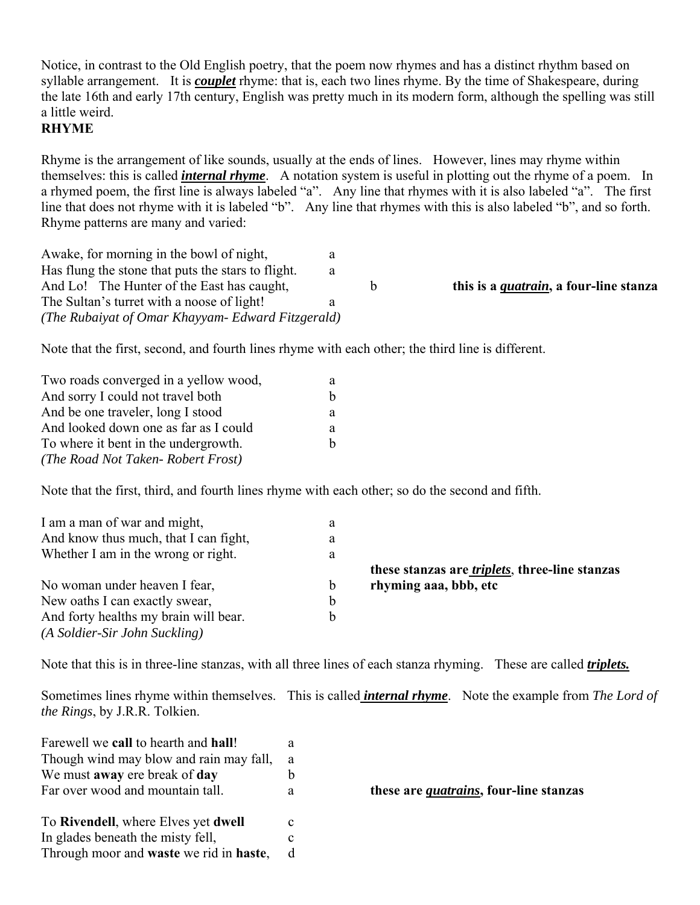Notice, in contrast to the Old English poetry, that the poem now rhymes and has a distinct rhythm based on syllable arrangement. It is *couplet* rhyme: that is, each two lines rhyme. By the time of Shakespeare, during the late 16th and early 17th century, English was pretty much in its modern form, although the spelling was still a little weird.

### **RHYME**

Rhyme is the arrangement of like sounds, usually at the ends of lines. However, lines may rhyme within themselves: this is called *internal rhyme*. A notation system is useful in plotting out the rhyme of a poem. In a rhymed poem, the first line is always labeled "a". Any line that rhymes with it is also labeled "a". The first line that does not rhyme with it is labeled "b". Any line that rhymes with this is also labeled "b", and so forth. Rhyme patterns are many and varied:

| Awake, for morning in the bowl of night,           |   |                                                |
|----------------------------------------------------|---|------------------------------------------------|
| Has flung the stone that puts the stars to flight. |   |                                                |
| And Lo! The Hunter of the East has caught,         | b | this is a <i>quatrain</i> , a four-line stanza |
| The Sultan's turret with a noose of light!         |   |                                                |
| (The Rubaiyat of Omar Khayyam- Edward Fitzgerald)  |   |                                                |

Note that the first, second, and fourth lines rhyme with each other; the third line is different.

| Two roads converged in a yellow wood, | а  |
|---------------------------------------|----|
| And sorry I could not travel both     | h  |
| And be one traveler, long I stood     | a  |
| And looked down one as far as I could | a  |
| To where it bent in the undergrowth.  | h. |
| (The Road Not Taken-Robert Frost)     |    |

Note that the first, third, and fourth lines rhyme with each other; so do the second and fifth.

| I am a man of war and might,<br>a              |                                                        |
|------------------------------------------------|--------------------------------------------------------|
| And know thus much, that I can fight,<br>a     |                                                        |
| Whether I am in the wrong or right.<br>a       |                                                        |
|                                                | these stanzas are <i>triplets</i> , three-line stanzas |
| No woman under heaven I fear,<br>$\mathfrak b$ | rhyming aaa, bbb, etc                                  |
|                                                |                                                        |
| New oaths I can exactly swear,<br>b            |                                                        |
| And forty healths my brain will bear.          |                                                        |

Note that this is in three-line stanzas, with all three lines of each stanza rhyming. These are called *triplets.*

Sometimes lines rhyme within themselves. This is called *internal rhyme*. Note the example from *The Lord of the Rings*, by J.R.R. Tolkien.

| Farewell we call to hearth and hall!    | a |
|-----------------------------------------|---|
| Though wind may blow and rain may fall, | a |
| We must away ere break of day           | h |
| Far over wood and mountain tall.        | a |
|                                         |   |
| To Rivendell, where Elves yet dwell     | с |
| In glades beneath the misty fell,       | C |
| Through moor and waste we rid in haste, |   |

farm over an *quatrains*, four-line stanzas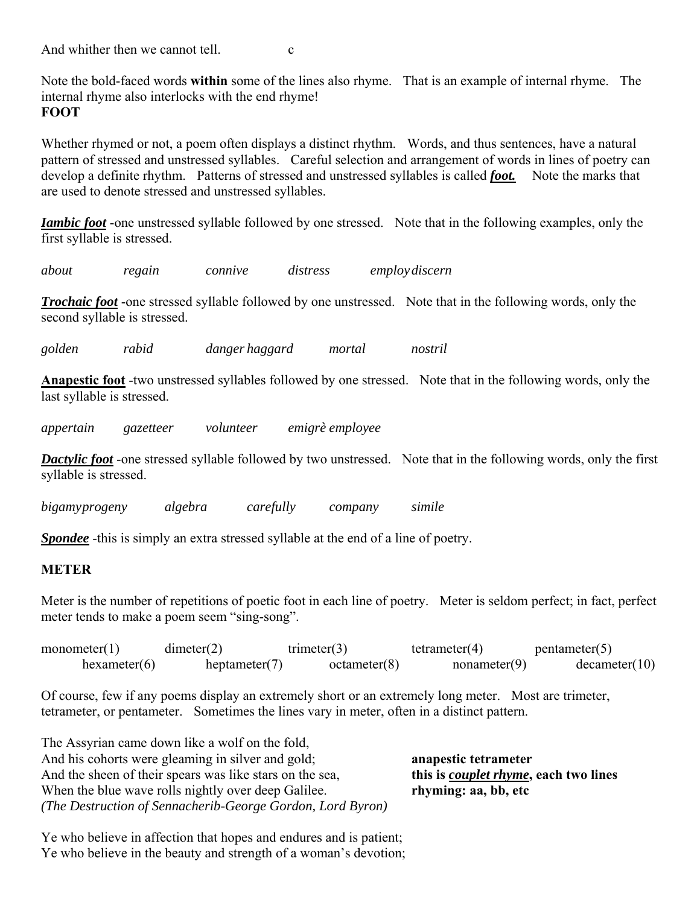And whither then we cannot tell.  $\qquad c$ 

Note the bold-faced words **within** some of the lines also rhyme. That is an example of internal rhyme. The internal rhyme also interlocks with the end rhyme! **FOOT**

Whether rhymed or not, a poem often displays a distinct rhythm. Words, and thus sentences, have a natural pattern of stressed and unstressed syllables. Careful selection and arrangement of words in lines of poetry can develop a definite rhythm. Patterns of stressed and unstressed syllables is called *foot.* Note the marks that are used to denote stressed and unstressed syllables.

*Iambic foot* -one unstressed syllable followed by one stressed. Note that in the following examples, only the first syllable is stressed.

*about regain connive distress employ discern*

*Trochaic foot* -one stressed syllable followed by one unstressed. Note that in the following words, only the second syllable is stressed.

*golden rabid danger haggard mortal nostril*

**Anapestic foot** -two unstressed syllables followed by one stressed. Note that in the following words, only the last syllable is stressed.

*appertain gazetteer volunteer emigrè employee*

*Dactylic foot* -one stressed syllable followed by two unstressed. Note that in the following words, only the first syllable is stressed.

*bigamy progeny algebra carefully company simile*

*Spondee* -this is simply an extra stressed syllable at the end of a line of poetry.

#### **METER**

Meter is the number of repetitions of poetic foot in each line of poetry. Meter is seldom perfect; in fact, perfect meter tends to make a poem seem "sing-song".

| monometer(1) | dimeter(2)       | $t$ rimeter $(3)$ | tetrameter(4) | pentameter(5) |
|--------------|------------------|-------------------|---------------|---------------|
| hexameter(6) | heptameter $(7)$ | octameter(8)      | nonameter(9)  | decamer(10)   |

Of course, few if any poems display an extremely short or an extremely long meter. Most are trimeter, tetrameter, or pentameter. Sometimes the lines vary in meter, often in a distinct pattern.

The Assyrian came down like a wolf on the fold, And his cohorts were gleaming in silver and gold; **anapestic tetrameter** And the sheen of their spears was like stars on the sea, **this is** *couplet rhyme***, each two lines** When the blue wave rolls nightly over deep Galilee. **rhyming: aa, bb, etc** *(The Destruction of Sennacherib-George Gordon, Lord Byron)* 

Ye who believe in affection that hopes and endures and is patient; Ye who believe in the beauty and strength of a woman's devotion;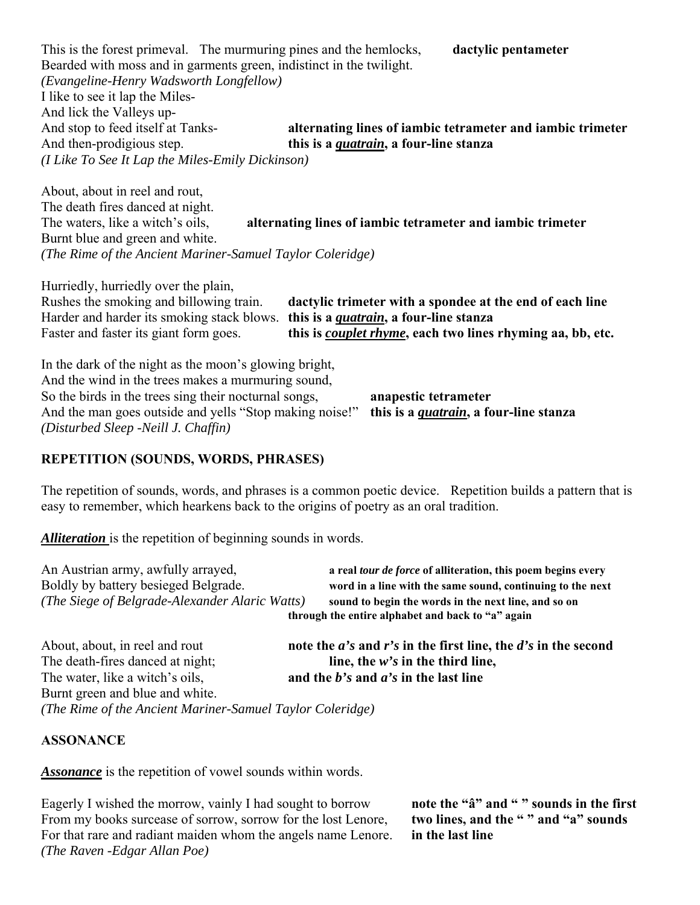This is the forest primeval. The murmuring pines and the hemlocks, **dactylic pentameter** Bearded with moss and in garments green, indistinct in the twilight. *(Evangeline-Henry Wadsworth Longfellow)* I like to see it lap the Miles-And lick the Valleys up-<br>And stop to feed itself at Tanksalternating lines of iambic tetrameter and iambic trimeter And then-prodigious step. **this is a** *quatrain***, a four-line stanza** *(I Like To See It Lap the Miles-Emily Dickinson)*

About, about in reel and rout, The death fires danced at night. The waters, like a witch's oils, **alternating lines of iambic tetrameter and iambic trimeter** Burnt blue and green and white. *(The Rime of the Ancient Mariner-Samuel Taylor Coleridge)*

Hurriedly, hurriedly over the plain, Rushes the smoking and billowing train. **dactylic trimeter with a spondee at the end of each line** Harder and harder its smoking stack blows. **this is a** *quatrain***, a four-line stanza** Faster and faster its giant form goes. **this is** *couplet rhyme***, each two lines rhyming aa, bb, etc.**

In the dark of the night as the moon's glowing bright, And the wind in the trees makes a murmuring sound, So the birds in the trees sing their nocturnal songs, **anapestic tetrameter** And the man goes outside and yells "Stop making noise!" **this is a** *quatrain***, a four-line stanza** *(Disturbed Sleep -Neill J. Chaffin)*

#### **REPETITION (SOUNDS, WORDS, PHRASES)**

The repetition of sounds, words, and phrases is a common poetic device. Repetition builds a pattern that is easy to remember, which hearkens back to the origins of poetry as an oral tradition.

*Alliteration* is the repetition of beginning sounds in words.

| An Austrian army, awfully arrayed,<br>Boldly by battery besieged Belgrade.<br>(The Siege of Belgrade-Alexander Alaric Watts) | a real tour de force of alliteration, this poem begins every<br>word in a line with the same sound, continuing to the next<br>sound to begin the words in the next line, and so on<br>through the entire alphabet and back to "a" again |
|------------------------------------------------------------------------------------------------------------------------------|-----------------------------------------------------------------------------------------------------------------------------------------------------------------------------------------------------------------------------------------|
| About, about, in reel and rout<br>The death-fires danced at night;                                                           | note the $a$ 's and r's in the first line, the $d$ 's in the second<br>line, the $w$ 's in the third line,                                                                                                                              |
| The water, like a witch's oils,                                                                                              | and the $b$ 's and $a$ 's in the last line                                                                                                                                                                                              |

Burnt green and blue and white. *(The Rime of the Ancient Mariner-Samuel Taylor Coleridge)*

#### **ASSONANCE**

*Assonance* is the repetition of vowel sounds within words.

Eagerly I wished the morrow, vainly I had sought to borrow **note the "a" and "" sounds in the first** From my books surcease of sorrow, sorrow for the lost Lenore, **two lines, and the " " and "a" sounds**  For that rare and radiant maiden whom the angels name Lenore. **in the last line** *(The Raven -Edgar Allan Poe)*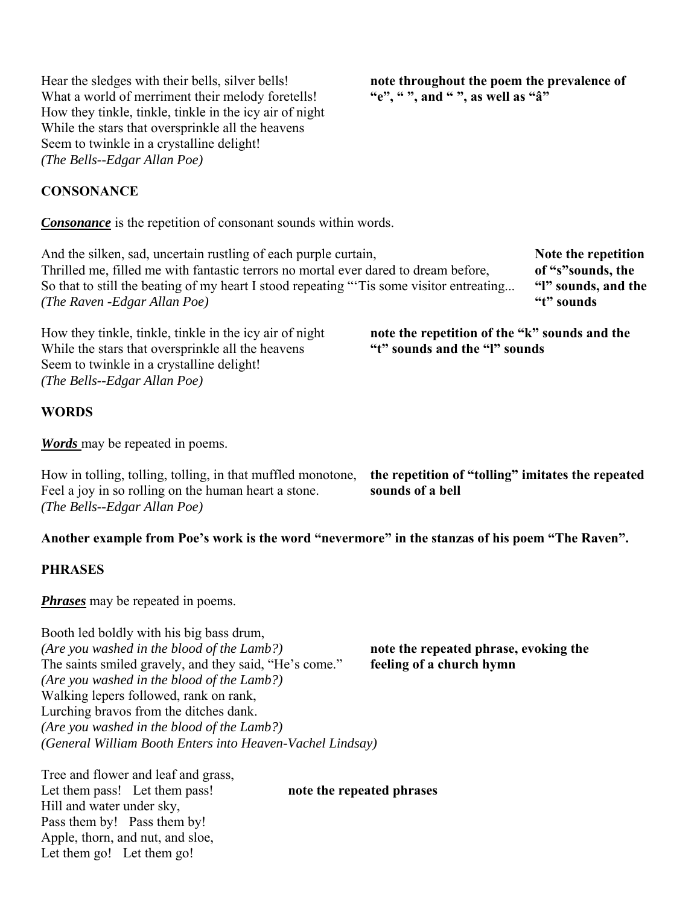Hear the sledges with their bells, silver bells! **note throughout the poem the prevalence of** What a world of merriment their melody foretells! "e", ", and "", as well as "a" What a world of merriment their melody foretells! How they tinkle, tinkle, tinkle in the icy air of night While the stars that oversprinkle all the heavens Seem to twinkle in a crystalline delight! *(The Bells--Edgar Allan Poe)*

### **CONSONANCE**

*Consonance* is the repetition of consonant sounds within words.

And the silken, sad, uncertain rustling of each purple curtain, **Note that is not a vector Note the repetition** Thrilled me, filled me with fantastic terrors no mortal ever dared to dream before, **of "s"sounds, the**  So that to still the beating of my heart I stood repeating "'Tis some visitor entreating... **"l" sounds, and the** *(The Raven -Edgar Allan Poe)* **"t" sounds**

How they tinkle, tinkle, tinkle in the icy air of night **note the repetition of the "k" sounds and the** While the stars that oversprinkle all the heavens Seem to twinkle in a crystalline delight! *(The Bells--Edgar Allan Poe)*

## **WORDS**

*Words* may be repeated in poems.

How in tolling, tolling, tolling, in that muffled monotone, **the repetition of "tolling" imitates the repeated** Feel a joy in so rolling on the human heart a stone. **sounds of a bell** *(The Bells--Edgar Allan Poe)*

**Another example from Poe's work is the word "nevermore" in the stanzas of his poem "The Raven".**

#### **PHRASES**

*Phrases* may be repeated in poems.

Booth led boldly with his big bass drum, *(Are you washed in the blood of the Lamb?)* **note the repeated phrase, evoking the**  The saints smiled gravely, and they said, "He's come." **feeling of a church hymn** *(Are you washed in the blood of the Lamb?)* Walking lepers followed, rank on rank, Lurching bravos from the ditches dank. *(Are you washed in the blood of the Lamb?) (General William Booth Enters into Heaven-Vachel Lindsay)*

Tree and flower and leaf and grass, Let them pass! Let them pass! **note the repeated phrases** Hill and water under sky, Pass them by! Pass them by! Apple, thorn, and nut, and sloe, Let them go! Let them go!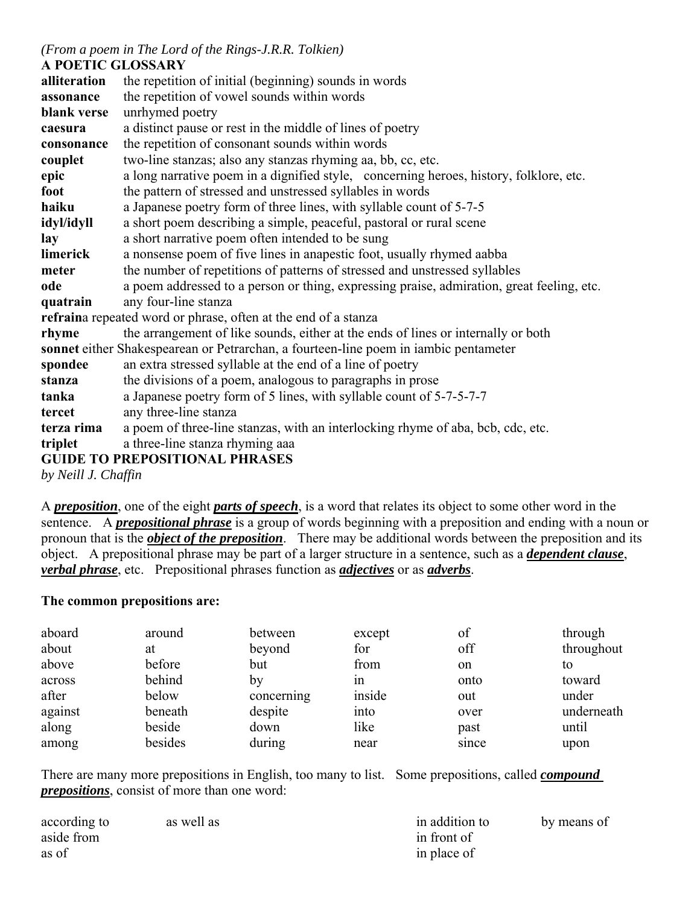# *(From a poem in The Lord of the Rings-J.R.R. Tolkien)*

# **A POETIC GLOSSARY**

| alliteration | the repetition of initial (beginning) sounds in words                                     |
|--------------|-------------------------------------------------------------------------------------------|
| assonance    | the repetition of vowel sounds within words                                               |
| blank verse  | unrhymed poetry                                                                           |
| caesura      | a distinct pause or rest in the middle of lines of poetry                                 |
| consonance   | the repetition of consonant sounds within words                                           |
| couplet      | two-line stanzas; also any stanzas rhyming aa, bb, cc, etc.                               |
| epic         | a long narrative poem in a dignified style, concerning heroes, history, folklore, etc.    |
| foot         | the pattern of stressed and unstressed syllables in words                                 |
| haiku        | a Japanese poetry form of three lines, with syllable count of 5-7-5                       |
| idyl/idyll   | a short poem describing a simple, peaceful, pastoral or rural scene                       |
| lay          | a short narrative poem often intended to be sung                                          |
| limerick     | a nonsense poem of five lines in anapestic foot, usually rhymed aabba                     |
| meter        | the number of repetitions of patterns of stressed and unstressed syllables                |
| ode          | a poem addressed to a person or thing, expressing praise, admiration, great feeling, etc. |
| quatrain     | any four-line stanza                                                                      |
|              | refraina repeated word or phrase, often at the end of a stanza                            |
| rhyme        | the arrangement of like sounds, either at the ends of lines or internally or both         |
|              | sonnet either Shakespearean or Petrarchan, a fourteen-line poem in iambic pentameter      |
| spondee      | an extra stressed syllable at the end of a line of poetry                                 |
| stanza       | the divisions of a poem, analogous to paragraphs in prose                                 |
| tanka        | a Japanese poetry form of 5 lines, with syllable count of 5-7-5-7-7                       |
| tercet       | any three-line stanza                                                                     |
| terza rima   | a poem of three-line stanzas, with an interlocking rhyme of aba, bcb, cdc, etc.           |
| triplet      | a three-line stanza rhyming aaa                                                           |
|              | <b>GUIDE TO PREPOSITIONAL PHRASES</b>                                                     |

*by Neill J. Chaffin* 

A *preposition*, one of the eight *parts of speech*, is a word that relates its object to some other word in the sentence. A *prepositional phrase* is a group of words beginning with a preposition and ending with a noun or pronoun that is the *object of the preposition*. There may be additional words between the preposition and its object. A prepositional phrase may be part of a larger structure in a sentence, such as a *dependent clause*, *verbal phrase*, etc. Prepositional phrases function as *adjectives* or as *adverbs*.

#### **The common prepositions are:**

| aboard  | around  | between    | except | of            | through    |
|---------|---------|------------|--------|---------------|------------|
| about   | at      | beyond     | for    | off           | throughout |
| above   | before  | but        | from   | <sub>on</sub> | to         |
| across  | behind  | bv         | 1n     | onto          | toward     |
| after   | below   | concerning | inside | out           | under      |
| against | beneath | despite    | into   | over          | underneath |
| along   | beside  | down       | like   | past          | until      |
| among   | besides | during     | near   | since         | upon       |

There are many more prepositions in English, too many to list. Some prepositions, called *compound prepositions*, consist of more than one word:

| according to | as well as | in addition to | by means of |
|--------------|------------|----------------|-------------|
| aside from   |            | in front of    |             |
| as of        |            | in place of    |             |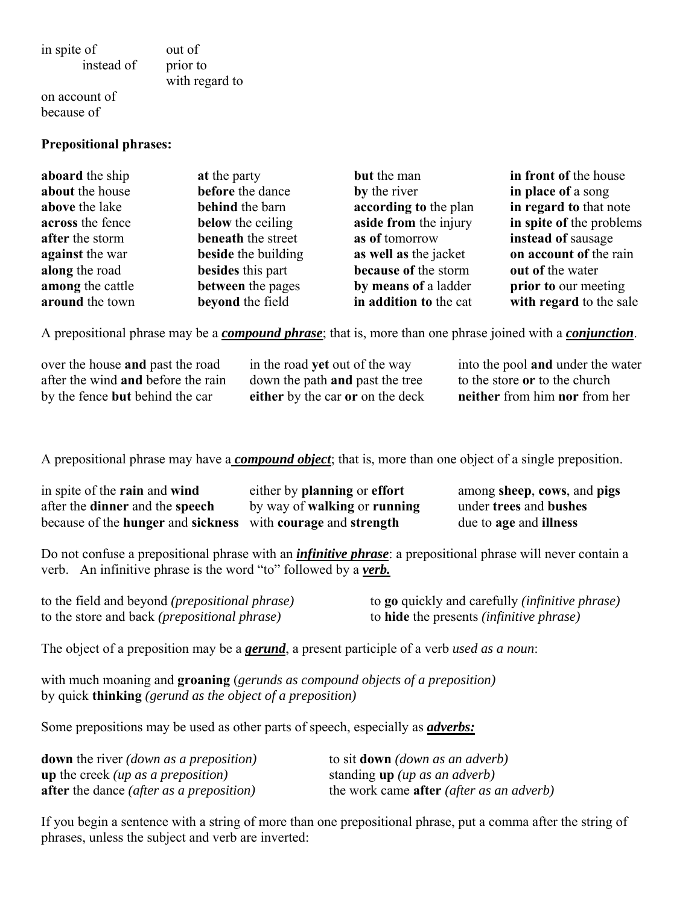in spite of instead of out of prior to with regard to

on account of because of

#### **Prepositional phrases:**

| aboard the ship  | at the party              | but the man            | in front of the house    |
|------------------|---------------------------|------------------------|--------------------------|
| about the house  | before the dance          | by the river           | in place of a song       |
| above the lake   | behind the barn           | according to the plan  | in regard to that note   |
| across the fence | below the ceiling         | aside from the injury  | in spite of the problems |
| after the storm  | <b>beneath</b> the street | as of tomorrow         | instead of sausage       |
| against the war  | beside the building       | as well as the jacket  | on account of the rain   |
| along the road   | besides this part         | because of the storm   | out of the water         |
| among the cattle | between the pages         | by means of a ladder   | prior to our meeting     |
| around the town  | beyond the field          | in addition to the cat | with regard to the sale  |

A prepositional phrase may be a *compound phrase*; that is, more than one phrase joined with a *conjunction*.

over the house **and** past the road after the wind **and** before the rain by the fence **but** behind the car

in the road **yet** out of the way down the path **and** past the tree **either** by the car **or** on the deck into the pool **and** under the water to the store **or** to the church **neither** from him **nor** from her

A prepositional phrase may have a *compound object*; that is, more than one object of a single preposition.

| in spite of the rain and wind                                | either by planning or effort               | among sheep, cows, and pigs |
|--------------------------------------------------------------|--------------------------------------------|-----------------------------|
| after the <b>dinner</b> and the <b>speech</b>                | by way of <b>walking</b> or <b>running</b> | under trees and bushes      |
| because of the hunger and sickness with courage and strength |                                            | due to age and illness      |

Do not confuse a prepositional phrase with an *infinitive phrase*: a prepositional phrase will never contain a verb. An infinitive phrase is the word "to" followed by a *verb.*

| to the field and beyond <i>(prepositional phrase)</i> | to <b>go</b> quickly and carefully <i>(infinitive phrase)</i> |
|-------------------------------------------------------|---------------------------------------------------------------|
| to the store and back ( <i>prepositional phrase</i> ) | to <b>hide</b> the presents <i>(infinitive phrase)</i>        |

The object of a preposition may be a *gerund*, a present participle of a verb *used as a noun*:

with much moaning and **groaning** (*gerunds as compound objects of a preposition)* by quick **thinking** *(gerund as the object of a preposition)*

Some prepositions may be used as other parts of speech, especially as *adverbs:*

| <b>down</b> the river <i>(down as a preposition)</i>   | to sit <b>down</b> ( <i>down as an adverb</i> )          |
|--------------------------------------------------------|----------------------------------------------------------|
| <b>up</b> the creek ( <i>up as a preposition</i> )     | standing <b>up</b> ( <i>up as an adverb</i> )            |
| <b>after</b> the dance <i>(after as a preposition)</i> | the work came <b>after</b> ( <i>after as an adverb</i> ) |

If you begin a sentence with a string of more than one prepositional phrase, put a comma after the string of phrases, unless the subject and verb are inverted: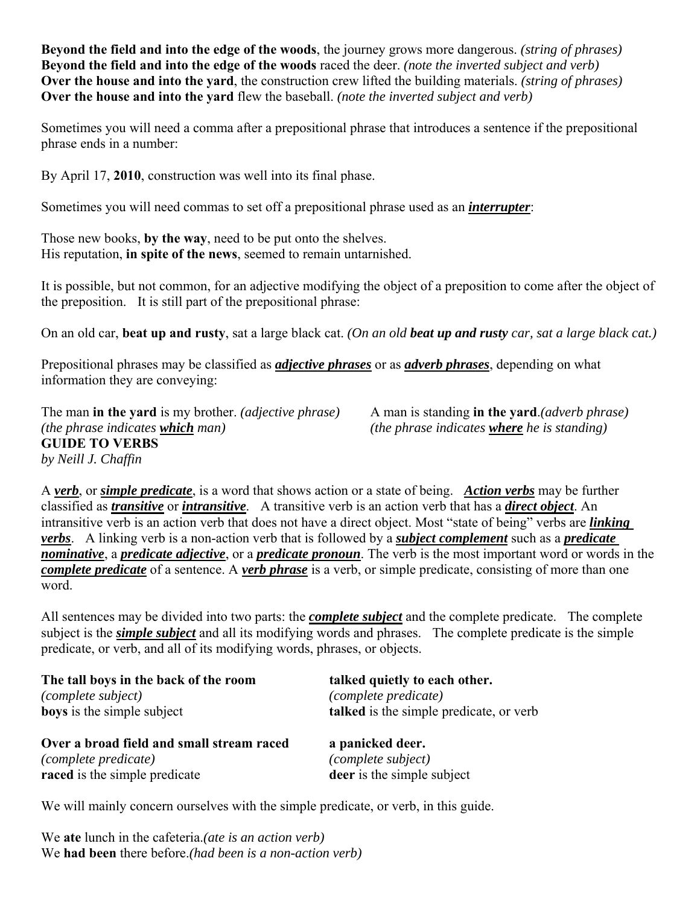**Beyond the field and into the edge of the woods**, the journey grows more dangerous. *(string of phrases)* **Beyond the field and into the edge of the woods** raced the deer. *(note the inverted subject and verb)* **Over the house and into the yard**, the construction crew lifted the building materials. *(string of phrases)* **Over the house and into the yard** flew the baseball. *(note the inverted subject and verb)*

Sometimes you will need a comma after a prepositional phrase that introduces a sentence if the prepositional phrase ends in a number:

By April 17, **2010**, construction was well into its final phase.

Sometimes you will need commas to set off a prepositional phrase used as an *interrupter*:

Those new books, **by the way**, need to be put onto the shelves. His reputation, **in spite of the news**, seemed to remain untarnished.

It is possible, but not common, for an adjective modifying the object of a preposition to come after the object of the preposition. It is still part of the prepositional phrase:

On an old car, **beat up and rusty**, sat a large black cat. *(On an old beat up and rusty car, sat a large black cat.)*

Prepositional phrases may be classified as *adjective phrases* or as *adverb phrases*, depending on what information they are conveying:

The man **in the vard** is my brother. *(adjective phrase)* A man is standing **in the vard**.*(adverb phrase) (the phrase indicates which man) (the phrase indicates where he is standing)* **GUIDE TO VERBS** *by Neill J. Chaffin*

A *verb*, or *simple predicate*, is a word that shows action or a state of being. *Action verbs* may be further classified as *transitive* or *intransitive*. A transitive verb is an action verb that has a *direct object*. An intransitive verb is an action verb that does not have a direct object. Most "state of being" verbs are *linking verbs*. A linking verb is a non-action verb that is followed by a *subject complement* such as a *predicate nominative*, a *predicate adjective*, or a *predicate pronoun*. The verb is the most important word or words in the *complete predicate* of a sentence. A *verb phrase* is a verb, or simple predicate, consisting of more than one word.

All sentences may be divided into two parts: the *complete subject* and the complete predicate. The complete subject is the *simple subject* and all its modifying words and phrases. The complete predicate is the simple predicate, or verb, and all of its modifying words, phrases, or objects.

| The tall boys in the back of the room     | talked quietly to each other.           |
|-------------------------------------------|-----------------------------------------|
| (complete subject)                        | <i>(complete predicate)</i>             |
| <b>boys</b> is the simple subject         | talked is the simple predicate, or verb |
| Over a broad field and small stream raced | a panicked deer.                        |
| <i>(complete predicate)</i>               | (complete subject)                      |
| raced is the simple predicate             | deer is the simple subject              |

We will mainly concern ourselves with the simple predicate, or verb, in this guide.

We **ate** lunch in the cafeteria.*(ate is an action verb)* We **had been** there before.*(had been is a non-action verb)*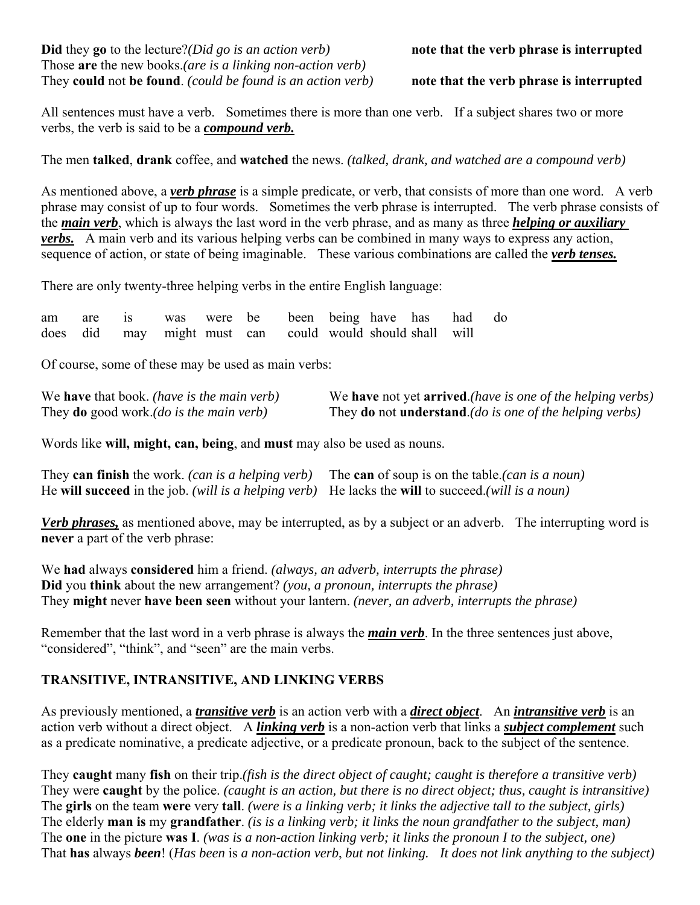**Did** they **go** to the lecture?*(Did go is an action verb)* **note that the verb phrase is interrupted** Those **are** the new books.*(are is a linking non-action verb)* They **could** not **be found**. *(could be found is an action verb)* **note that the verb phrase is interrupted**

All sentences must have a verb. Sometimes there is more than one verb. If a subject shares two or more verbs, the verb is said to be a *compound verb.*

The men **talked**, **drank** coffee, and **watched** the news. *(talked, drank, and watched are a compound verb)*

As mentioned above, a *verb phrase* is a simple predicate, or verb, that consists of more than one word. A verb phrase may consist of up to four words. Sometimes the verb phrase is interrupted. The verb phrase consists of the *main verb*, which is always the last word in the verb phrase, and as many as three *helping or auxiliary verbs.* A main verb and its various helping verbs can be combined in many ways to express any action, sequence of action, or state of being imaginable. These various combinations are called the *verb tenses.*

There are only twenty-three helping verbs in the entire English language:

|  |                                                           |  |  |  | am are is was were be been being have has had do |  |
|--|-----------------------------------------------------------|--|--|--|--------------------------------------------------|--|
|  | does did may might must can could would should shall will |  |  |  |                                                  |  |

Of course, some of these may be used as main verbs:

| We <b>have</b> that book. (have is the main verb)       | We have not yet arrived.(have is one of the helping verbs)                      |
|---------------------------------------------------------|---------------------------------------------------------------------------------|
| They <b>do</b> good work.( <i>do is the main verb</i> ) | They <b>do</b> not <b>understand</b> .( <i>do is one of the helping verbs</i> ) |

Words like **will, might, can, being**, and **must** may also be used as nouns.

| They can finish the work. (can is a helping verb) The can of soup is on the table. (can is a noun)  |  |
|-----------------------------------------------------------------------------------------------------|--|
| He will succeed in the job. (will is a helping verb) He lacks the will to succeed. (will is a noun) |  |

*Verb phrases,* as mentioned above, may be interrupted, as by a subject or an adverb. The interrupting word is **never** a part of the verb phrase:

We **had** always **considered** him a friend. *(always, an adverb, interrupts the phrase)* **Did** you **think** about the new arrangement? *(you, a pronoun, interrupts the phrase)* They **might** never **have been seen** without your lantern. *(never, an adverb, interrupts the phrase)*

Remember that the last word in a verb phrase is always the *main verb*. In the three sentences just above, "considered", "think", and "seen" are the main verbs.

#### **TRANSITIVE, INTRANSITIVE, AND LINKING VERBS**

As previously mentioned, a *transitive verb* is an action verb with a *direct object*. An *intransitive verb* is an action verb without a direct object. A *linking verb* is a non-action verb that links a *subject complement* such as a predicate nominative, a predicate adjective, or a predicate pronoun, back to the subject of the sentence.

They **caught** many **fish** on their trip.*(fish is the direct object of caught; caught is therefore a transitive verb)* They were **caught** by the police. *(caught is an action, but there is no direct object; thus, caught is intransitive)* The **girls** on the team **were** very **tall**. *(were is a linking verb; it links the adjective tall to the subject, girls)* The elderly **man is** my **grandfather**. *(is is a linking verb; it links the noun grandfather to the subject, man)* The **one** in the picture **was I**. *(was is a non-action linking verb; it links the pronoun I to the subject, one)* That **has** always *been*! (*Has been* is *a non-action verb*, *but not linking. It does not link anything to the subject)*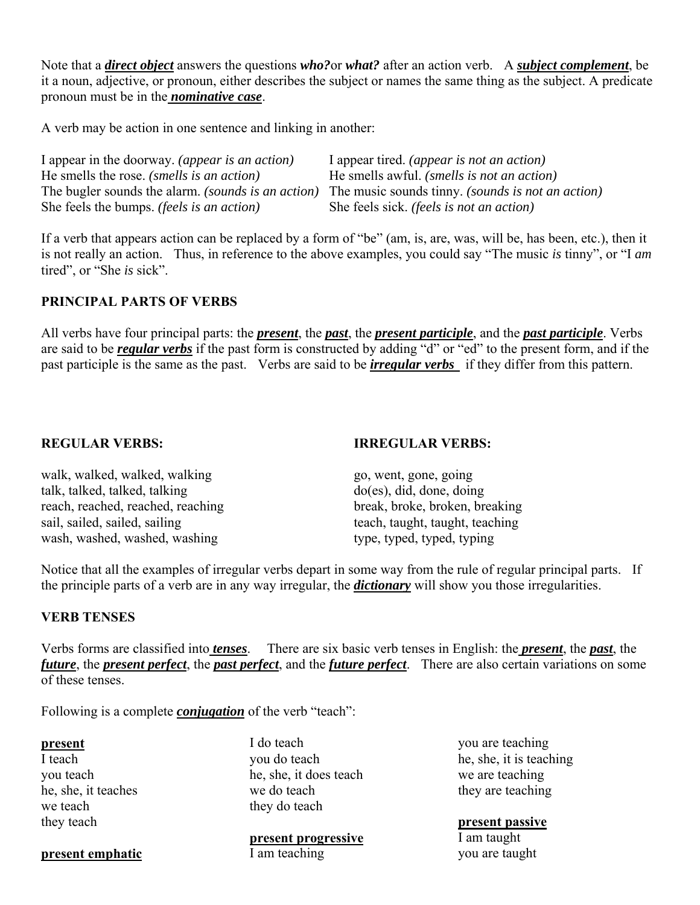Note that a *direct object* answers the questions *who?*or *what?* after an action verb. A *subject complement*, be it a noun, adjective, or pronoun, either describes the subject or names the same thing as the subject. A predicate pronoun must be in the *nominative case*.

A verb may be action in one sentence and linking in another:

| I appear in the doorway. (appear is an action)            | I appear tired. <i>(appear is not an action)</i>         |
|-----------------------------------------------------------|----------------------------------------------------------|
| He smells the rose. <i>(smells is an action)</i>          | He smells awful. <i>(smells is not an action)</i>        |
| The bugler sounds the alarm. <i>(sounds is an action)</i> | The music sounds tinny. <i>(sounds is not an action)</i> |
| She feels the bumps. <i>(feels is an action)</i>          | She feels sick. ( <i>feels is not an action</i> )        |

If a verb that appears action can be replaced by a form of "be" (am, is, are, was, will be, has been, etc.), then it is not really an action. Thus, in reference to the above examples, you could say "The music *is* tinny", or "I *am* tired", or "She *is* sick".

#### **PRINCIPAL PARTS OF VERBS**

All verbs have four principal parts: the *present*, the *past*, the *present participle*, and the *past participle*. Verbs are said to be *regular verbs* if the past form is constructed by adding "d" or "ed" to the present form, and if the past participle is the same as the past. Verbs are said to be *irregular verbs* if they differ from this pattern.

#### **REGULAR VERBS:**

**IRREGULAR VERBS:**

walk, walked, walked, walking talk, talked, talked, talking reach, reached, reached, reaching sail, sailed, sailed, sailing wash, washed, washed, washing

#### go, went, gone, going do(es), did, done, doing break, broke, broken, breaking teach, taught, taught, teaching type, typed, typed, typing

Notice that all the examples of irregular verbs depart in some way from the rule of regular principal parts. If the principle parts of a verb are in any way irregular, the *dictionary* will show you those irregularities.

#### **VERB TENSES**

Verbs forms are classified into *tenses*. There are six basic verb tenses in English: the *present*, the *past*, the *future*, the *present perfect*, the *past perfect*, and the *future perfect*. There are also certain variations on some of these tenses.

Following is a complete *conjugation* of the verb "teach":

#### **present**

I teach you teach he, she, it teaches we teach they teach

I do teach you do teach he, she, it does teach we do teach they do teach

**present progressive** I am teaching

you are teaching he, she, it is teaching we are teaching they are teaching

**present passive** I am taught you are taught

# **present emphatic**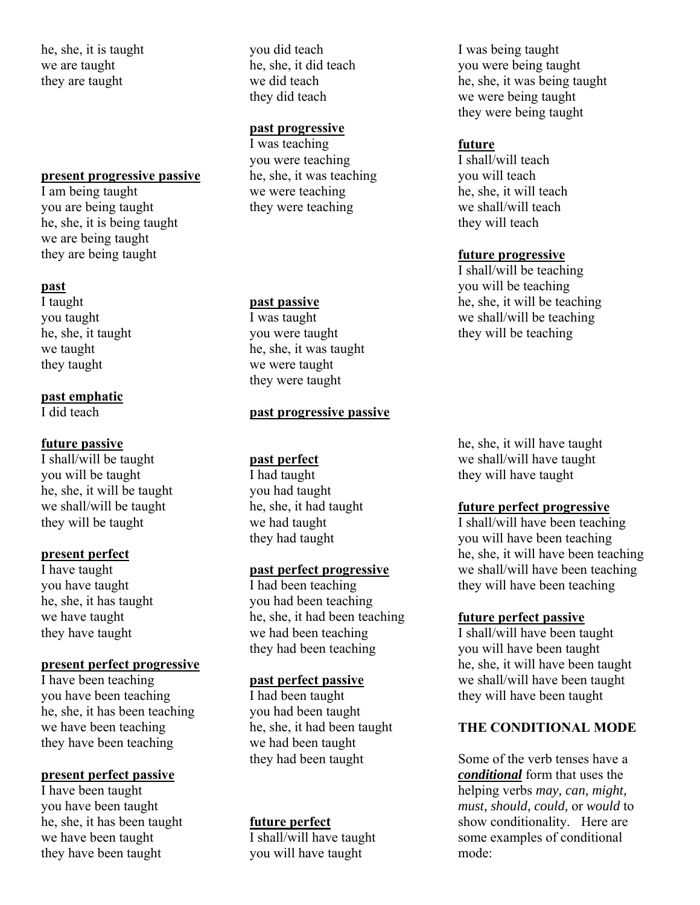he, she, it is taught we are taught they are taught

#### **present progressive passive**

I am being taught you are being taught he, she, it is being taught we are being taught they are being taught

#### **past**

I taught you taught he, she, it taught we taught they taught

#### **past emphatic**

I did teach

#### **future passive**

I shall/will be taught you will be taught he, she, it will be taught we shall/will be taught they will be taught

#### **present perfect**

I have taught you have taught he, she, it has taught we have taught they have taught

#### **present perfect progressive**

I have been teaching you have been teaching he, she, it has been teaching we have been teaching they have been teaching

#### **present perfect passive**

I have been taught you have been taught he, she, it has been taught we have been taught they have been taught

you did teach he, she, it did teach we did teach they did teach

#### **past progressive**

I was teaching you were teaching he, she, it was teaching we were teaching they were teaching

#### **past passive**

I was taught you were taught he, she, it was taught we were taught they were taught

#### **past progressive passive**

#### **past perfect**

I had taught you had taught he, she, it had taught we had taught they had taught

#### **past perfect progressive**

I had been teaching you had been teaching he, she, it had been teaching we had been teaching they had been teaching

#### **past perfect passive**

I had been taught you had been taught he, she, it had been taught we had been taught they had been taught

#### **future perfect**

I shall/will have taught you will have taught

I was being taught you were being taught he, she, it was being taught we were being taught they were being taught

#### **future**

I shall/will teach you will teach he, she, it will teach we shall/will teach they will teach

#### **future progressive**

I shall/will be teaching you will be teaching he, she, it will be teaching we shall/will be teaching they will be teaching

he, she, it will have taught we shall/will have taught they will have taught

#### **future perfect progressive**

I shall/will have been teaching you will have been teaching he, she, it will have been teaching we shall/will have been teaching they will have been teaching

#### **future perfect passive**

I shall/will have been taught you will have been taught he, she, it will have been taught we shall/will have been taught they will have been taught

#### **THE CONDITIONAL MODE**

Some of the verb tenses have a *conditional* form that uses the helping verbs *may, can, might, must, should, could,* or *would* to show conditionality. Here are some examples of conditional mode: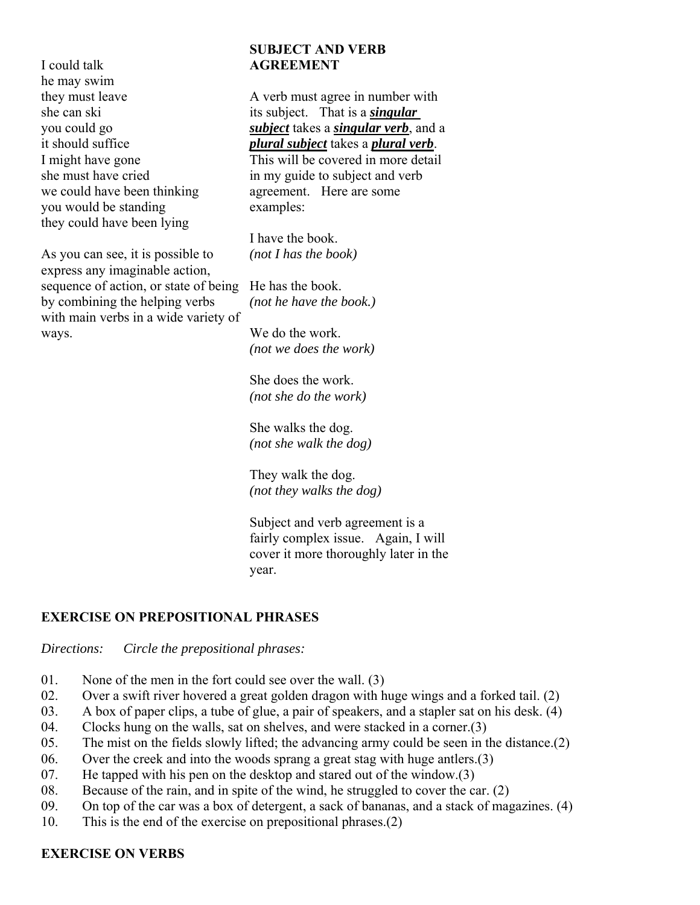I could talk he may swim they must leave she can ski you could go it should suffice I might have gone she must have cried we could have been thinking you would be standing they could have been lying

As you can see, it is possible to express any imaginable action, sequence of action, or state of being He has the book. by combining the helping verbs with main verbs in a wide variety of ways.

### **SUBJECT AND VERB AGREEMENT**

A verb must agree in number with its subject. That is a *singular subject* takes a *singular verb*, and a *plural subject* takes a *plural verb*.

This will be covered in more detail in my guide to subject and verb agreement. Here are some examples:

I have the book. *(not I has the book)* 

*(not he have the book.)*

We do the work. *(not we does the work)*

She does the work. *(not she do the work)*

She walks the dog. *(not she walk the dog)*

They walk the dog. *(not they walks the dog)*

Subject and verb agreement is a fairly complex issue. Again, I will cover it more thoroughly later in the year.

# **EXERCISE ON PREPOSITIONAL PHRASES**

*Directions: Circle the prepositional phrases:*

- 01. None of the men in the fort could see over the wall. (3)
- 02. Over a swift river hovered a great golden dragon with huge wings and a forked tail. (2)
- 03. A box of paper clips, a tube of glue, a pair of speakers, and a stapler sat on his desk. (4)
- 04. Clocks hung on the walls, sat on shelves, and were stacked in a corner.(3)
- 05. The mist on the fields slowly lifted; the advancing army could be seen in the distance.(2)
- 06. Over the creek and into the woods sprang a great stag with huge antlers.(3)
- 07. He tapped with his pen on the desktop and stared out of the window.(3)
- 08. Because of the rain, and in spite of the wind, he struggled to cover the car. (2)
- 09. On top of the car was a box of detergent, a sack of bananas, and a stack of magazines. (4)
- 10. This is the end of the exercise on prepositional phrases.(2)

# **EXERCISE ON VERBS**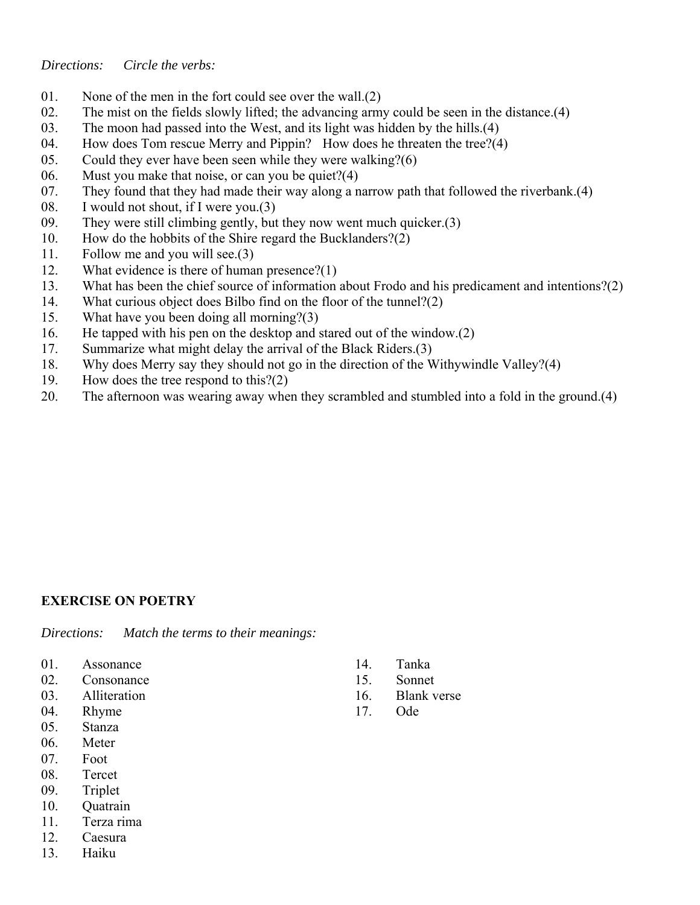#### *Directions: Circle the verbs:*

- 01. None of the men in the fort could see over the wall.(2)
- 02. The mist on the fields slowly lifted; the advancing army could be seen in the distance.(4)
- 03. The moon had passed into the West, and its light was hidden by the hills.(4)
- 04. How does Tom rescue Merry and Pippin? How does he threaten the tree?(4)
- 05. Could they ever have been seen while they were walking?(6)
- 06. Must you make that noise, or can you be quiet?(4)
- 07. They found that they had made their way along a narrow path that followed the riverbank.(4)
- 08. I would not shout, if I were you.(3)
- 09. They were still climbing gently, but they now went much quicker.(3)
- 10. How do the hobbits of the Shire regard the Bucklanders?(2)
- 11. Follow me and you will see.(3)
- 12. What evidence is there of human presence?(1)
- 13. What has been the chief source of information about Frodo and his predicament and intentions?(2)
- 14. What curious object does Bilbo find on the floor of the tunnel?(2)
- 15. What have you been doing all morning?(3)
- 16. He tapped with his pen on the desktop and stared out of the window.(2)
- 17. Summarize what might delay the arrival of the Black Riders.(3)
- 18. Why does Merry say they should not go in the direction of the Withywindle Valley?(4)
- 19. How does the tree respond to this?(2)
- 20. The afternoon was wearing away when they scrambled and stumbled into a fold in the ground.(4)

#### **EXERCISE ON POETRY**

*Directions: Match the terms to their meanings:*

- 01. Assonance
- 02. Consonance
- 03. Alliteration
- 04. Rhyme
- 05. Stanza
- 06. Meter
- 07. Foot
- 08. Tercet
- 09. Triplet
- 10. Quatrain
- 11. Terza rima
- 12. Caesura
- 13. Haiku
- 14. Tanka
- 15. Sonnet
- 16. Blank verse
- 17. Ode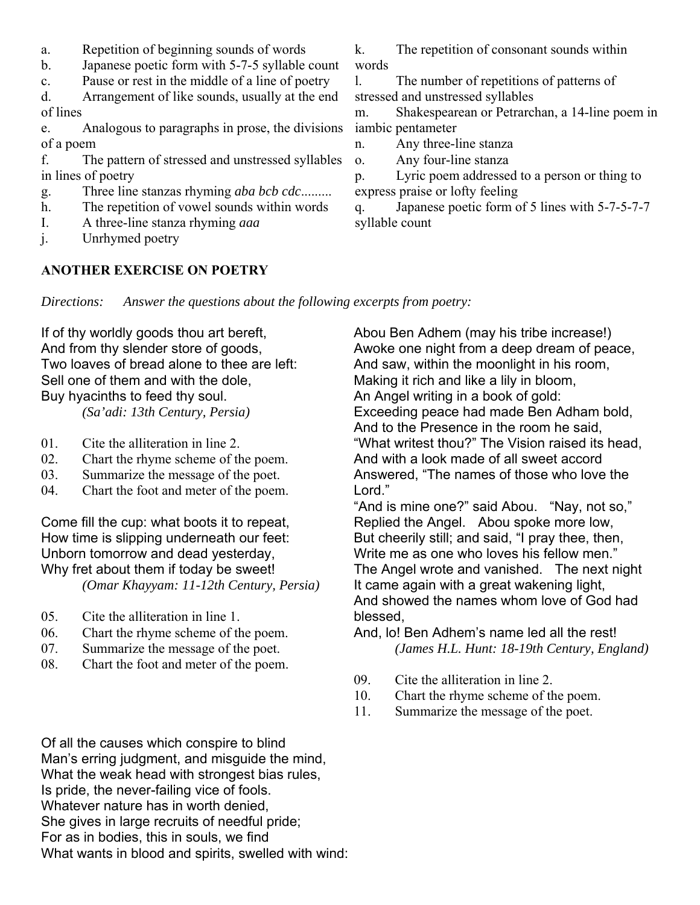- a. Repetition of beginning sounds of words
- b. Japanese poetic form with 5-7-5 syllable count
- c. Pause or rest in the middle of a line of poetry

d. Arrangement of like sounds, usually at the end of lines

e. Analogous to paragraphs in prose, the divisions of a poem

f. The pattern of stressed and unstressed syllables in lines of poetry

- g. Three line stanzas rhyming *aba bcb cdc*.........
- h. The repetition of vowel sounds within words
- I. A three-line stanza rhyming *aaa*
- j. Unrhymed poetry

#### **ANOTHER EXERCISE ON POETRY**

k. The repetition of consonant sounds within words

l. The number of repetitions of patterns of stressed and unstressed syllables

m. Shakespearean or Petrarchan, a 14-line poem in iambic pentameter

n. Any three-line stanza

o. Any four-line stanza

p. Lyric poem addressed to a person or thing to express praise or lofty feeling

q. Japanese poetic form of 5 lines with 5-7-5-7-7 syllable count

*Directions: Answer the questions about the following excerpts from poetry:*

If of thy worldly goods thou art bereft, And from thy slender store of goods, Two loaves of bread alone to thee are left: Sell one of them and with the dole, Buy hyacinths to feed thy soul.  *(Sa'adi: 13th Century, Persia)*

01. Cite the alliteration in line 2.

- 02. Chart the rhyme scheme of the poem.
- 03. Summarize the message of the poet.
- 04. Chart the foot and meter of the poem.

Come fill the cup: what boots it to repeat, How time is slipping underneath our feet: Unborn tomorrow and dead yesterday, Why fret about them if today be sweet! *(Omar Khayyam: 11-12th Century, Persia)*

- 05. Cite the alliteration in line 1.
- 06. Chart the rhyme scheme of the poem.
- 07. Summarize the message of the poet.
- 08. Chart the foot and meter of the poem.

Abou Ben Adhem (may his tribe increase!) Awoke one night from a deep dream of peace, And saw, within the moonlight in his room, Making it rich and like a lily in bloom, An Angel writing in a book of gold: Exceeding peace had made Ben Adham bold, And to the Presence in the room he said, "What writest thou?" The Vision raised its head, And with a look made of all sweet accord Answered, "The names of those who love the Lord."

"And is mine one?" said Abou. "Nay, not so," Replied the Angel. Abou spoke more low, But cheerily still; and said, "I pray thee, then, Write me as one who loves his fellow men." The Angel wrote and vanished. The next night It came again with a great wakening light, And showed the names whom love of God had blessed,

- And, lo! Ben Adhem's name led all the rest!  *(James H.L. Hunt: 18-19th Century, England)*
- 09. Cite the alliteration in line 2.
- 10. Chart the rhyme scheme of the poem.
- 11. Summarize the message of the poet.

Of all the causes which conspire to blind Man's erring judgment, and misguide the mind, What the weak head with strongest bias rules, Is pride, the never-failing vice of fools. Whatever nature has in worth denied, She gives in large recruits of needful pride; For as in bodies, this in souls, we find What wants in blood and spirits, swelled with wind: